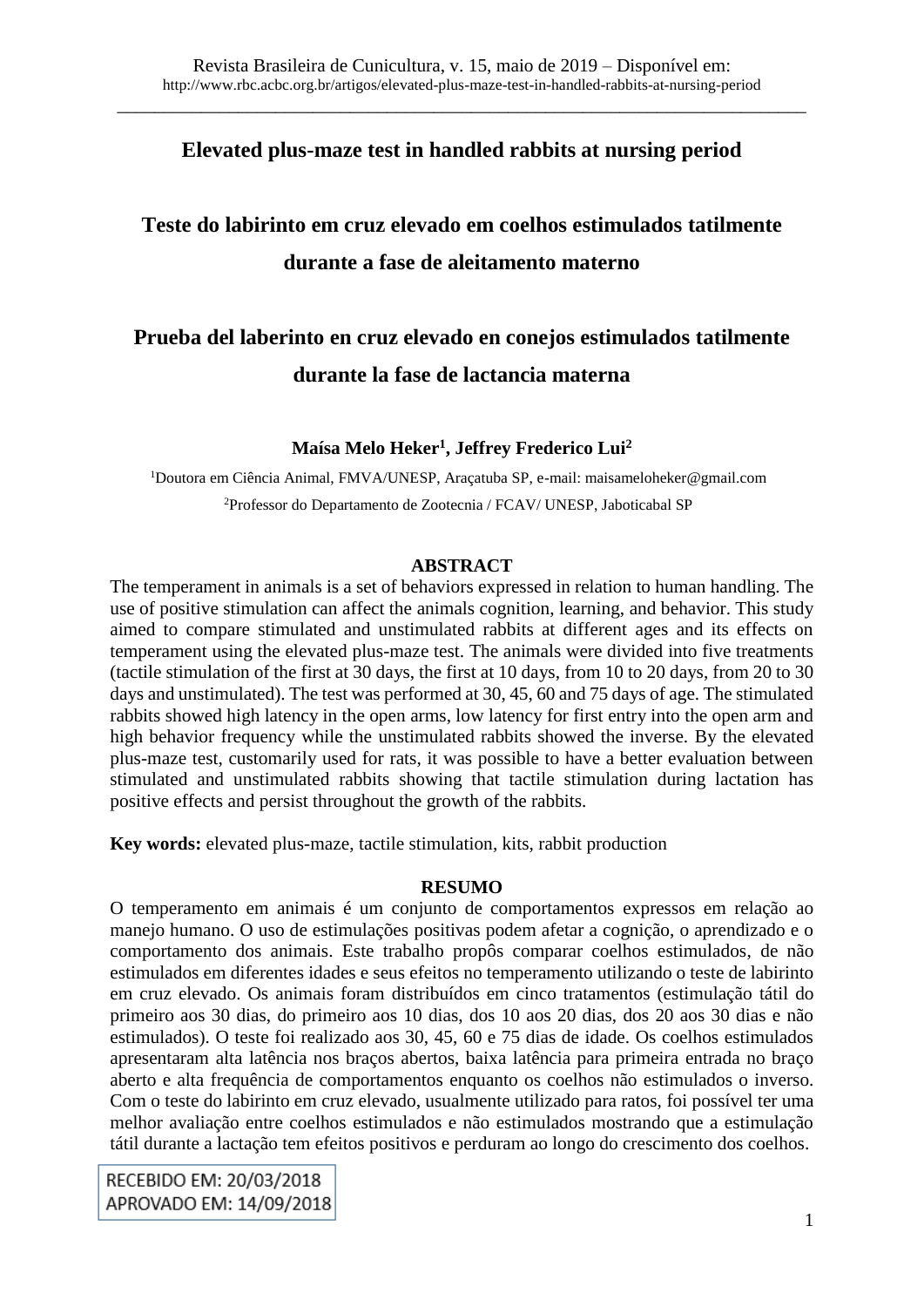## **Elevated plus-maze test in handled rabbits at nursing period**

# **Teste do labirinto em cruz elevado em coelhos estimulados tatilmente durante a fase de aleitamento materno**

# **Prueba del laberinto en cruz elevado en conejos estimulados tatilmente durante la fase de lactancia materna**

### **Maísa Melo Heker<sup>1</sup> , Jeffrey Frederico Lui<sup>2</sup>**

<sup>1</sup>Doutora em Ciência Animal, FMVA/UNESP, Araçatuba SP, e-mail: maisameloheker@gmail.com <sup>2</sup>Professor do Departamento de Zootecnia / FCAV/ UNESP, Jaboticabal SP

#### **ABSTRACT**

The temperament in animals is a set of behaviors expressed in relation to human handling. The use of positive stimulation can affect the animals cognition, learning, and behavior. This study aimed to compare stimulated and unstimulated rabbits at different ages and its effects on temperament using the elevated plus-maze test. The animals were divided into five treatments (tactile stimulation of the first at 30 days, the first at 10 days, from 10 to 20 days, from 20 to 30 days and unstimulated). The test was performed at 30, 45, 60 and 75 days of age. The stimulated rabbits showed high latency in the open arms, low latency for first entry into the open arm and high behavior frequency while the unstimulated rabbits showed the inverse. By the elevated plus-maze test, customarily used for rats, it was possible to have a better evaluation between stimulated and unstimulated rabbits showing that tactile stimulation during lactation has positive effects and persist throughout the growth of the rabbits.

**Key words:** elevated plus-maze, tactile stimulation, kits, rabbit production

#### **RESUMO**

O temperamento em animais é um conjunto de comportamentos expressos em relação ao manejo humano. O uso de estimulações positivas podem afetar a cognição, o aprendizado e o comportamento dos animais. Este trabalho propôs comparar coelhos estimulados, de não estimulados em diferentes idades e seus efeitos no temperamento utilizando o teste de labirinto em cruz elevado. Os animais foram distribuídos em cinco tratamentos (estimulação tátil do primeiro aos 30 dias, do primeiro aos 10 dias, dos 10 aos 20 dias, dos 20 aos 30 dias e não estimulados). O teste foi realizado aos 30, 45, 60 e 75 dias de idade. Os coelhos estimulados apresentaram alta latência nos braços abertos, baixa latência para primeira entrada no braço aberto e alta frequência de comportamentos enquanto os coelhos não estimulados o inverso. Com o teste do labirinto em cruz elevado, usualmente utilizado para ratos, foi possível ter uma melhor avaliação entre coelhos estimulados e não estimulados mostrando que a estimulação tátil durante a lactação tem efeitos positivos e perduram ao longo do crescimento dos coelhos.

RECEBIDO EM: 20/03/2018 APROVADO EM: 14/09/2018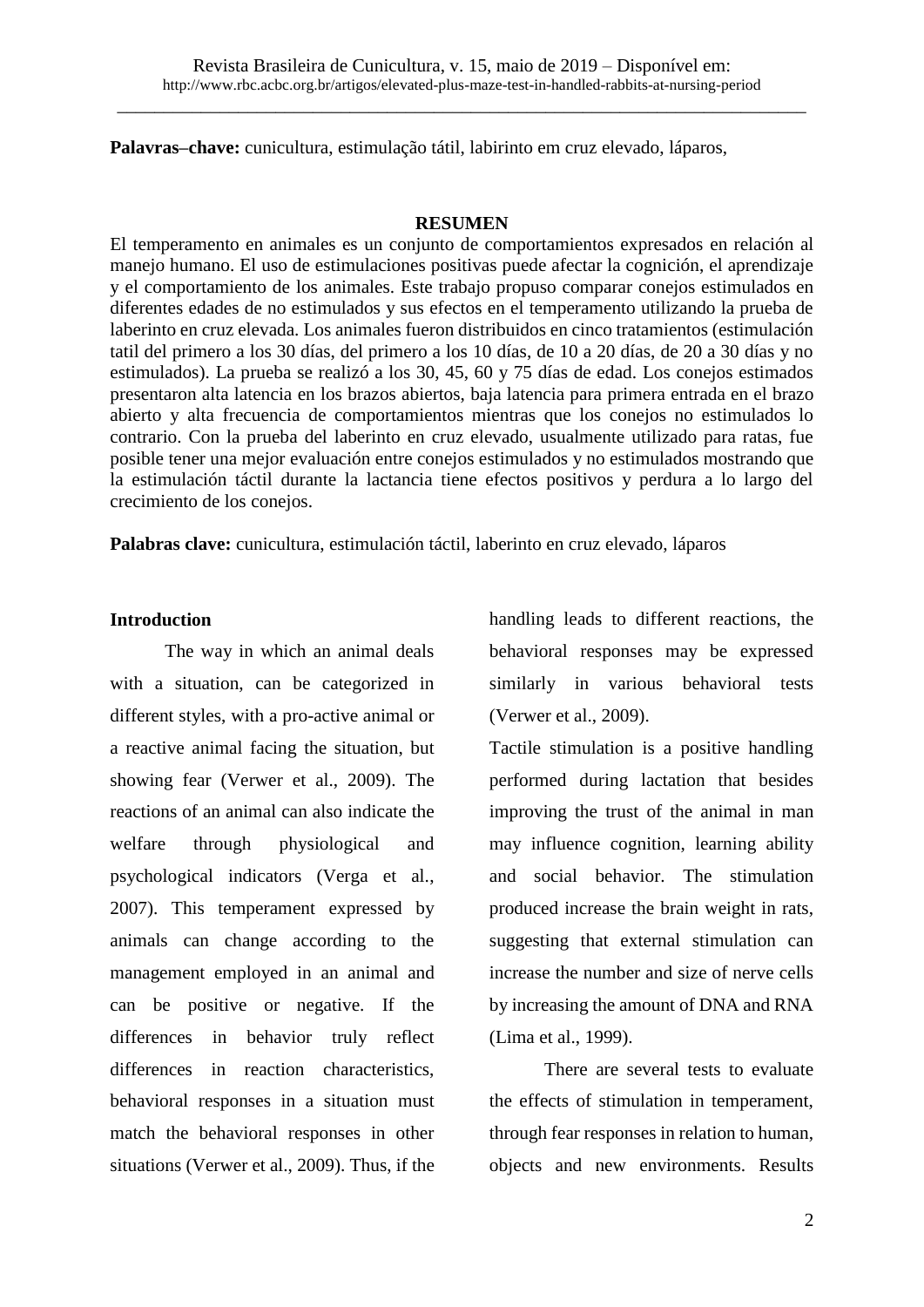**Palavras–chave:** cunicultura, estimulação tátil, labirinto em cruz elevado, láparos,

#### **RESUMEN**

El temperamento en animales es un conjunto de comportamientos expresados en relación al manejo humano. El uso de estimulaciones positivas puede afectar la cognición, el aprendizaje y el comportamiento de los animales. Este trabajo propuso comparar conejos estimulados en diferentes edades de no estimulados y sus efectos en el temperamento utilizando la prueba de laberinto en cruz elevada. Los animales fueron distribuidos en cinco tratamientos (estimulación tatil del primero a los 30 días, del primero a los 10 días, de 10 a 20 días, de 20 a 30 días y no estimulados). La prueba se realizó a los 30, 45, 60 y 75 días de edad. Los conejos estimados presentaron alta latencia en los brazos abiertos, baja latencia para primera entrada en el brazo abierto y alta frecuencia de comportamientos mientras que los conejos no estimulados lo contrario. Con la prueba del laberinto en cruz elevado, usualmente utilizado para ratas, fue posible tener una mejor evaluación entre conejos estimulados y no estimulados mostrando que la estimulación táctil durante la lactancia tiene efectos positivos y perdura a lo largo del crecimiento de los conejos.

**Palabras clave:** cunicultura, estimulación táctil, laberinto en cruz elevado, láparos

#### **Introduction**

The way in which an animal deals with a situation, can be categorized in different styles, with a pro-active animal or a reactive animal facing the situation, but showing fear (Verwer et al., 2009). The reactions of an animal can also indicate the welfare through physiological and psychological indicators (Verga et al., 2007). This temperament expressed by animals can change according to the management employed in an animal and can be positive or negative. If the differences in behavior truly reflect differences in reaction characteristics, behavioral responses in a situation must match the behavioral responses in other situations (Verwer et al., 2009). Thus, if the handling leads to different reactions, the behavioral responses may be expressed similarly in various behavioral tests (Verwer et al., 2009).

Tactile stimulation is a positive handling performed during lactation that besides improving the trust of the animal in man may influence cognition, learning ability and social behavior. The stimulation produced increase the brain weight in rats, suggesting that external stimulation can increase the number and size of nerve cells by increasing the amount of DNA and RNA (Lima et al., 1999).

There are several tests to evaluate the effects of stimulation in temperament, through fear responses in relation to human, objects and new environments. Results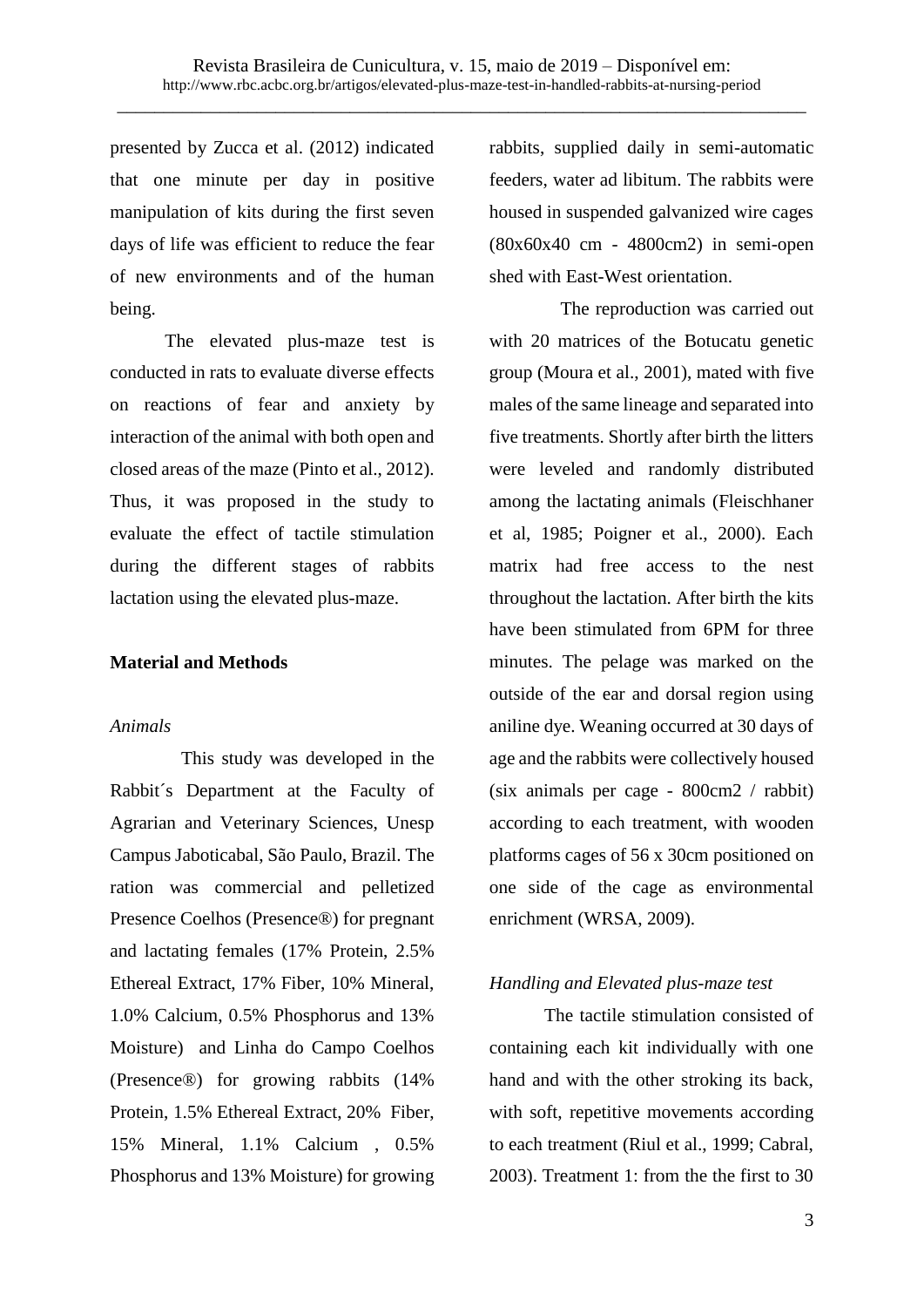presented by Zucca et al. (2012) indicated that one minute per day in positive manipulation of kits during the first seven days of life was efficient to reduce the fear of new environments and of the human being.

The elevated plus-maze test is conducted in rats to evaluate diverse effects on reactions of fear and anxiety by interaction of the animal with both open and closed areas of the maze (Pinto et al., 2012). Thus, it was proposed in the study to evaluate the effect of tactile stimulation during the different stages of rabbits lactation using the elevated plus-maze.

#### **Material and Methods**

#### *Animals*

This study was developed in the Rabbit´s Department at the Faculty of Agrarian and Veterinary Sciences, Unesp Campus Jaboticabal, São Paulo, Brazil. The ration was commercial and pelletized Presence Coelhos (Presence®) for pregnant and lactating females (17% Protein, 2.5% Ethereal Extract, 17% Fiber, 10% Mineral, 1.0% Calcium, 0.5% Phosphorus and 13% Moisture) and Linha do Campo Coelhos (Presence®) for growing rabbits (14% Protein, 1.5% Ethereal Extract, 20% Fiber, 15% Mineral, 1.1% Calcium , 0.5% Phosphorus and 13% Moisture) for growing

rabbits, supplied daily in semi-automatic feeders, water ad libitum. The rabbits were housed in suspended galvanized wire cages (80x60x40 cm - 4800cm2) in semi-open shed with East-West orientation.

The reproduction was carried out with 20 matrices of the Botucatu genetic group (Moura et al., 2001), mated with five males of the same lineage and separated into five treatments. Shortly after birth the litters were leveled and randomly distributed among the lactating animals (Fleischhaner et al, 1985; Poigner et al., 2000). Each matrix had free access to the nest throughout the lactation. After birth the kits have been stimulated from 6PM for three minutes. The pelage was marked on the outside of the ear and dorsal region using aniline dye. Weaning occurred at 30 days of age and the rabbits were collectively housed (six animals per cage - 800cm2 / rabbit) according to each treatment, with wooden platforms cages of 56 x 30cm positioned on one side of the cage as environmental enrichment (WRSA, 2009).

### *Handling and Elevated plus-maze test*

The tactile stimulation consisted of containing each kit individually with one hand and with the other stroking its back, with soft, repetitive movements according to each treatment (Riul et al., 1999; Cabral, 2003). Treatment 1: from the the first to 30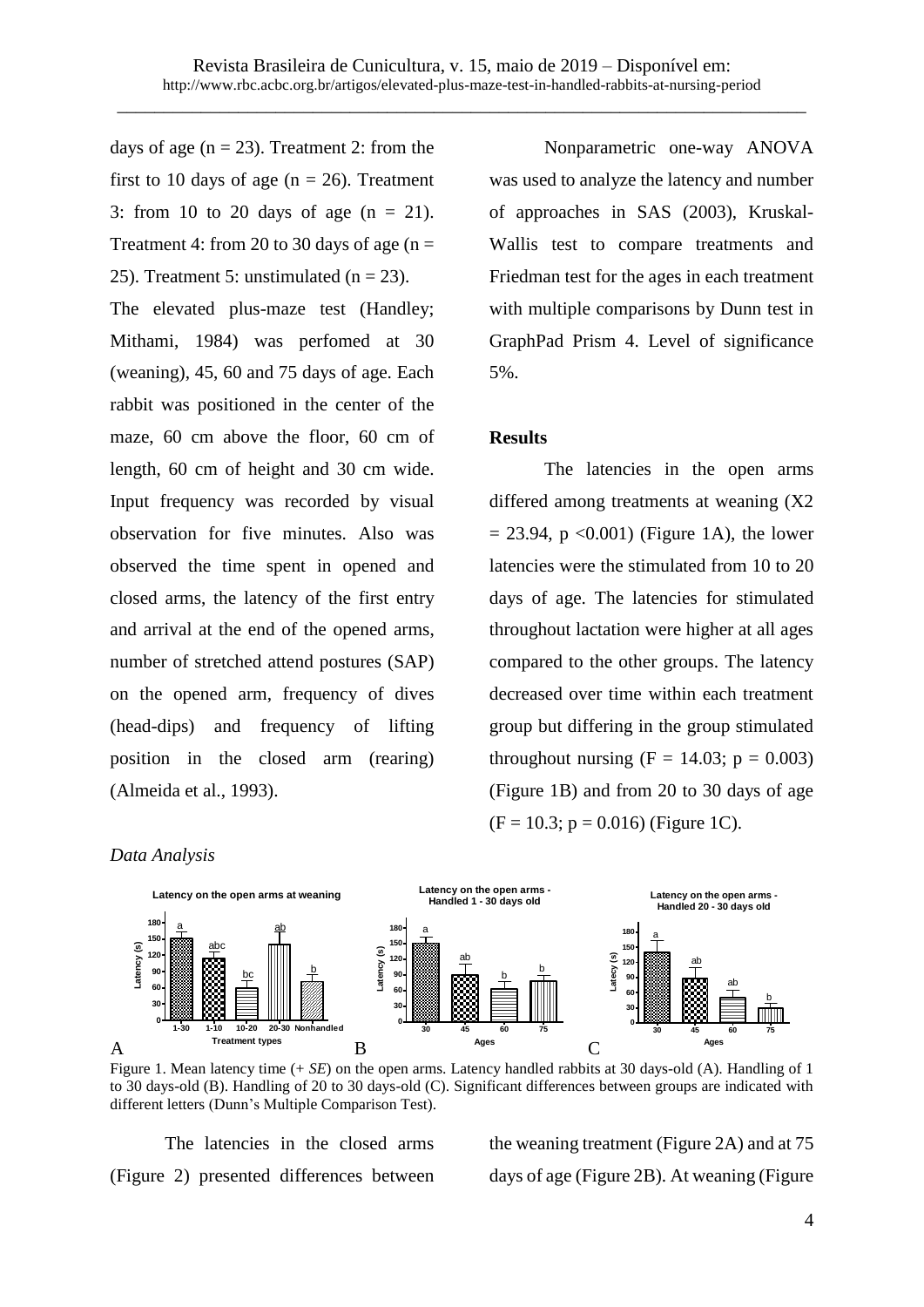days of age  $(n = 23)$ . Treatment 2: from the first to 10 days of age ( $n = 26$ ). Treatment 3: from 10 to 20 days of age  $(n = 21)$ . Treatment 4: from 20 to 30 days of age ( $n =$ 25). Treatment 5: unstimulated ( $n = 23$ ).

The elevated plus-maze test (Handley; Mithami, 1984) was perfomed at 30 (weaning), 45, 60 and 75 days of age. Each rabbit was positioned in the center of the maze, 60 cm above the floor, 60 cm of length, 60 cm of height and 30 cm wide. Input frequency was recorded by visual observation for five minutes. Also was observed the time spent in opened and closed arms, the latency of the first entry and arrival at the end of the opened arms, number of stretched attend postures (SAP) on the opened arm, frequency of dives (head-dips) and frequency of lifting position in the closed arm (rearing) (Almeida et al., 1993).

Nonparametric one-way ANOVA was used to analyze the latency and number of approaches in SAS (2003), Kruskal-Wallis test to compare treatments and Friedman test for the ages in each treatment with multiple comparisons by Dunn test in GraphPad Prism 4. Level of significance 5%.

#### **Results**

The latencies in the open arms differed among treatments at weaning (X2  $= 23.94$ , p <0.001) (Figure 1A), the lower latencies were the stimulated from 10 to 20 days of age. The latencies for stimulated throughout lactation were higher at all ages compared to the other groups. The latency decreased over time within each treatment group but differing in the group stimulated throughout nursing  $(F = 14.03; p = 0.003)$ (Figure 1B) and from 20 to 30 days of age  $(F = 10.3; p = 0.016)$  (Figure 1C).

#### *Data Analysis*



Figure 1. Mean latency time (+ *SE*) on the open arms. Latency handled rabbits at 30 days-old (A). Handling of 1 to 30 days-old (B). Handling of 20 to 30 days-old (C). Significant differences between groups are indicated with different letters (Dunn's Multiple Comparison Test).

The latencies in the closed arms (Figure 2) presented differences between the weaning treatment (Figure 2A) and at 75 days of age (Figure 2B). At weaning (Figure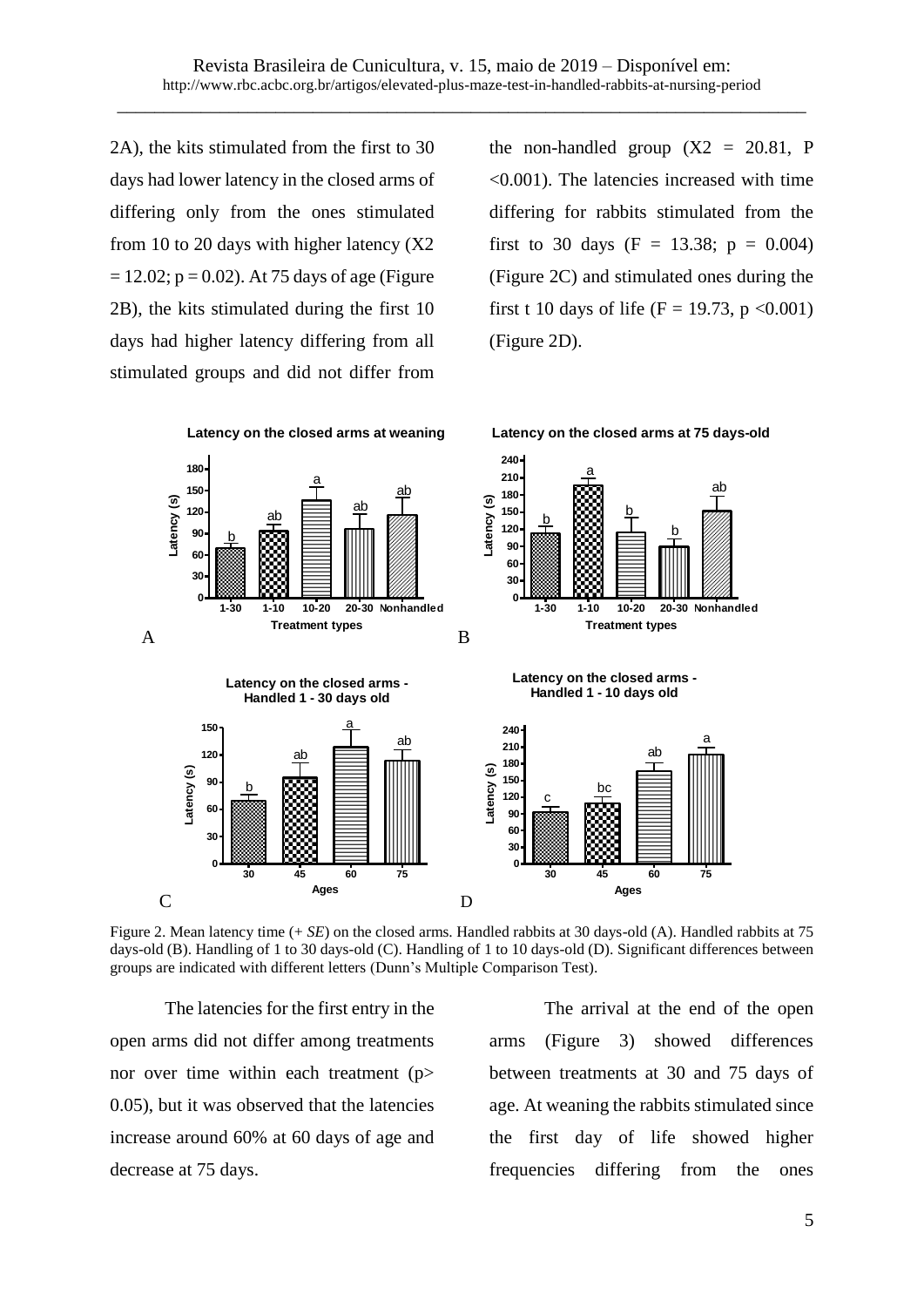2A), the kits stimulated from the first to 30 days had lower latency in the closed arms of differing only from the ones stimulated from 10 to 20 days with higher latency  $(X2)$  $= 12.02$ ;  $p = 0.02$ ). At 75 days of age (Figure 2B), the kits stimulated during the first 10 days had higher latency differing from all stimulated groups and did not differ from the non-handled group  $(X2 = 20.81, P)$ <0.001). The latencies increased with time differing for rabbits stimulated from the first to 30 days (F = 13.38;  $p = 0.004$ ) (Figure 2C) and stimulated ones during the first t 10 days of life (F = 19.73, p < 0.001) (Figure 2D).



Figure 2. Mean latency time (+ *SE*) on the closed arms. Handled rabbits at 30 days-old (A). Handled rabbits at 75 days-old (B). Handling of 1 to 30 days-old (C). Handling of 1 to 10 days-old (D). Significant differences between groups are indicated with different letters (Dunn's Multiple Comparison Test).

The latencies for the first entry in the open arms did not differ among treatments nor over time within each treatment (p> 0.05), but it was observed that the latencies increase around 60% at 60 days of age and decrease at 75 days.

The arrival at the end of the open arms (Figure 3) showed differences between treatments at 30 and 75 days of age. At weaning the rabbits stimulated since the first day of life showed higher frequencies differing from the ones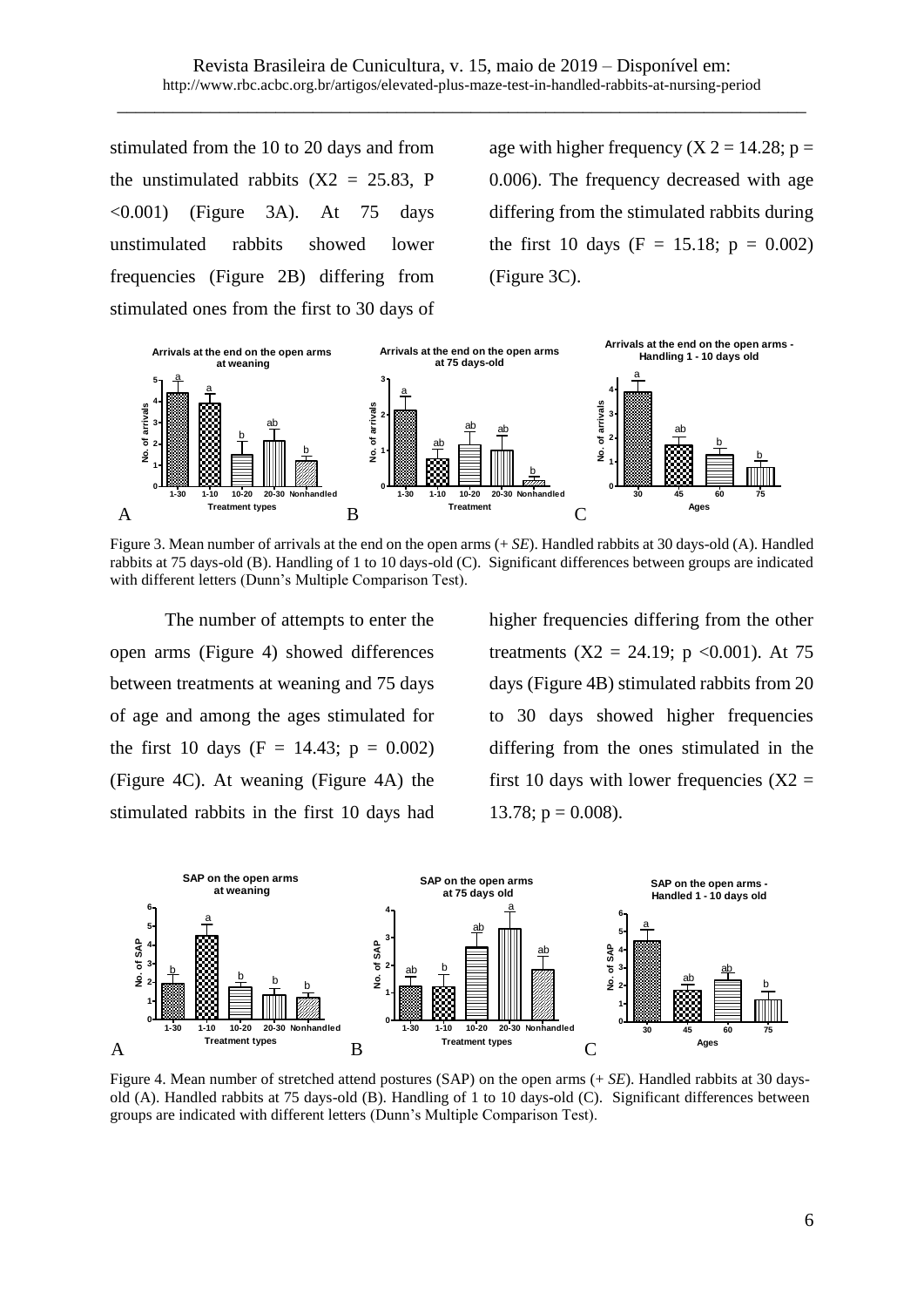stimulated from the 10 to 20 days and from the unstimulated rabbits  $(X2 = 25.83, P)$  $\langle 0.001 \rangle$  (Figure 3A). At 75 days unstimulated rabbits showed lower frequencies (Figure 2B) differing from stimulated ones from the first to 30 days of

age with higher frequency  $(X 2 = 14.28; p =$ 0.006). The frequency decreased with age differing from the stimulated rabbits during the first 10 days (F = 15.18;  $p = 0.002$ ) (Figure 3C).



Figure 3. Mean number of arrivals at the end on the open arms (+ *SE*). Handled rabbits at 30 days-old (A). Handled rabbits at 75 days-old (B). Handling of 1 to 10 days-old (C). Significant differences between groups are indicated with different letters (Dunn's Multiple Comparison Test).

The number of attempts to enter the open arms (Figure 4) showed differences between treatments at weaning and 75 days of age and among the ages stimulated for the first 10 days (F = 14.43;  $p = 0.002$ ) (Figure 4C). At weaning (Figure 4A) the stimulated rabbits in the first 10 days had higher frequencies differing from the other treatments  $(X2 = 24.19; p < 0.001)$ . At 75 days (Figure 4B) stimulated rabbits from 20 to 30 days showed higher frequencies differing from the ones stimulated in the first 10 days with lower frequencies  $(X2 =$ 13.78;  $p = 0.008$ ).



Figure 4. Mean number of stretched attend postures (SAP) on the open arms (+ *SE*). Handled rabbits at 30 daysold (A). Handled rabbits at 75 days-old (B). Handling of 1 to 10 days-old (C). Significant differences between groups are indicated with different letters (Dunn's Multiple Comparison Test).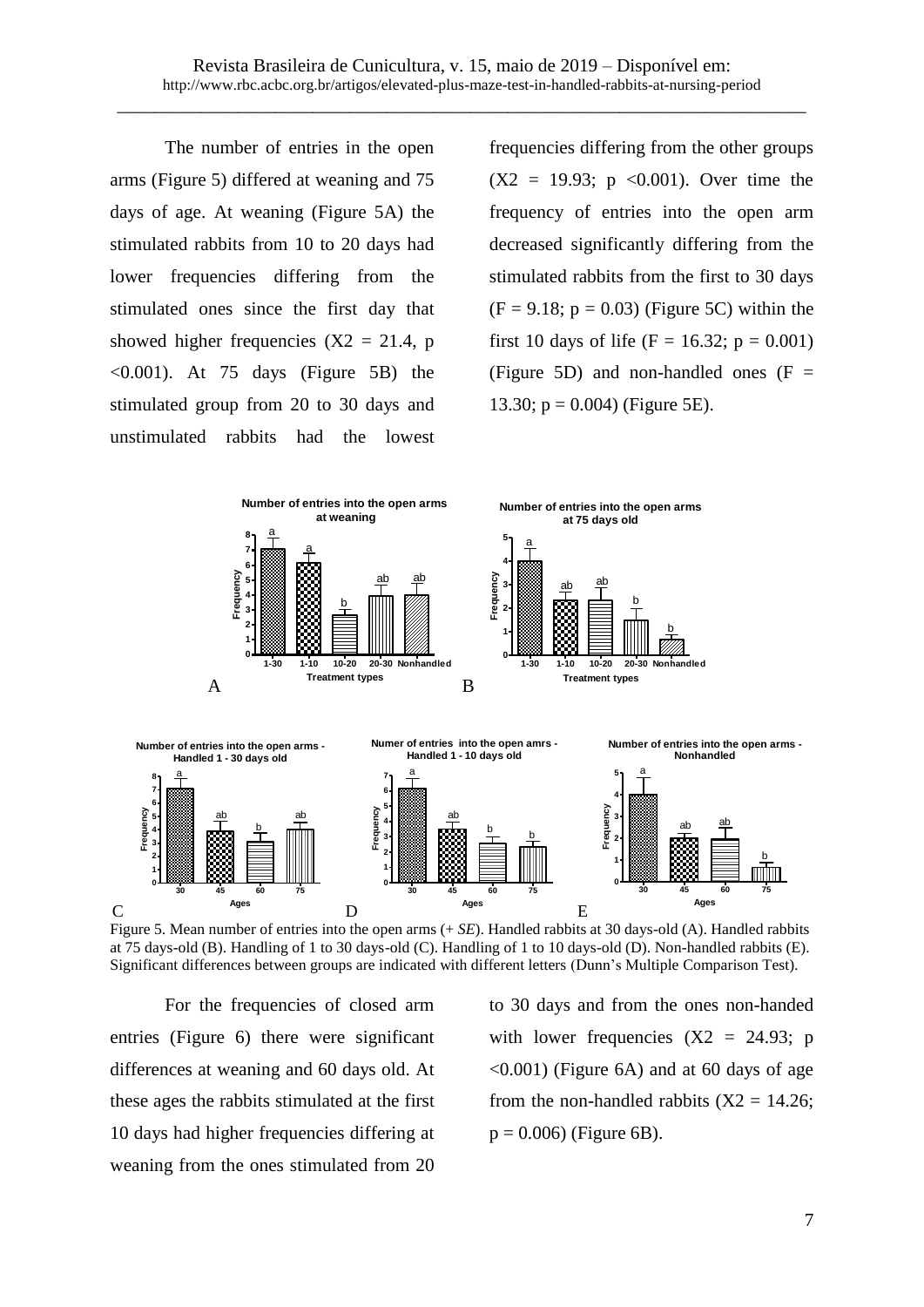The number of entries in the open arms (Figure 5) differed at weaning and 75 days of age. At weaning (Figure 5A) the stimulated rabbits from 10 to 20 days had lower frequencies differing from the stimulated ones since the first day that showed higher frequencies  $(X2 = 21.4, p)$  $\leq 0.001$ ). At 75 days (Figure 5B) the stimulated group from 20 to 30 days and unstimulated rabbits had the lowest frequencies differing from the other groups  $(X2 = 19.93; p \le 0.001)$ . Over time the frequency of entries into the open arm decreased significantly differing from the stimulated rabbits from the first to 30 days  $(F = 9.18; p = 0.03)$  (Figure 5C) within the first 10 days of life (F = 16.32; p = 0.001) (Figure 5D) and non-handled ones  $(F =$ 13.30;  $p = 0.004$ ) (Figure 5E).



Figure 5. Mean number of entries into the open arms (+ *SE*). Handled rabbits at 30 days-old (A). Handled rabbits at 75 days-old (B). Handling of 1 to 30 days-old (C). Handling of 1 to 10 days-old (D). Non-handled rabbits (E). Significant differences between groups are indicated with different letters (Dunn's Multiple Comparison Test).

For the frequencies of closed arm entries (Figure 6) there were significant differences at weaning and 60 days old. At these ages the rabbits stimulated at the first 10 days had higher frequencies differing at weaning from the ones stimulated from 20 to 30 days and from the ones non-handed with lower frequencies  $(X2 = 24.93; p)$ <0.001) (Figure 6A) and at 60 days of age from the non-handled rabbits  $(X2 = 14.26)$ ;  $p = 0.006$ ) (Figure 6B).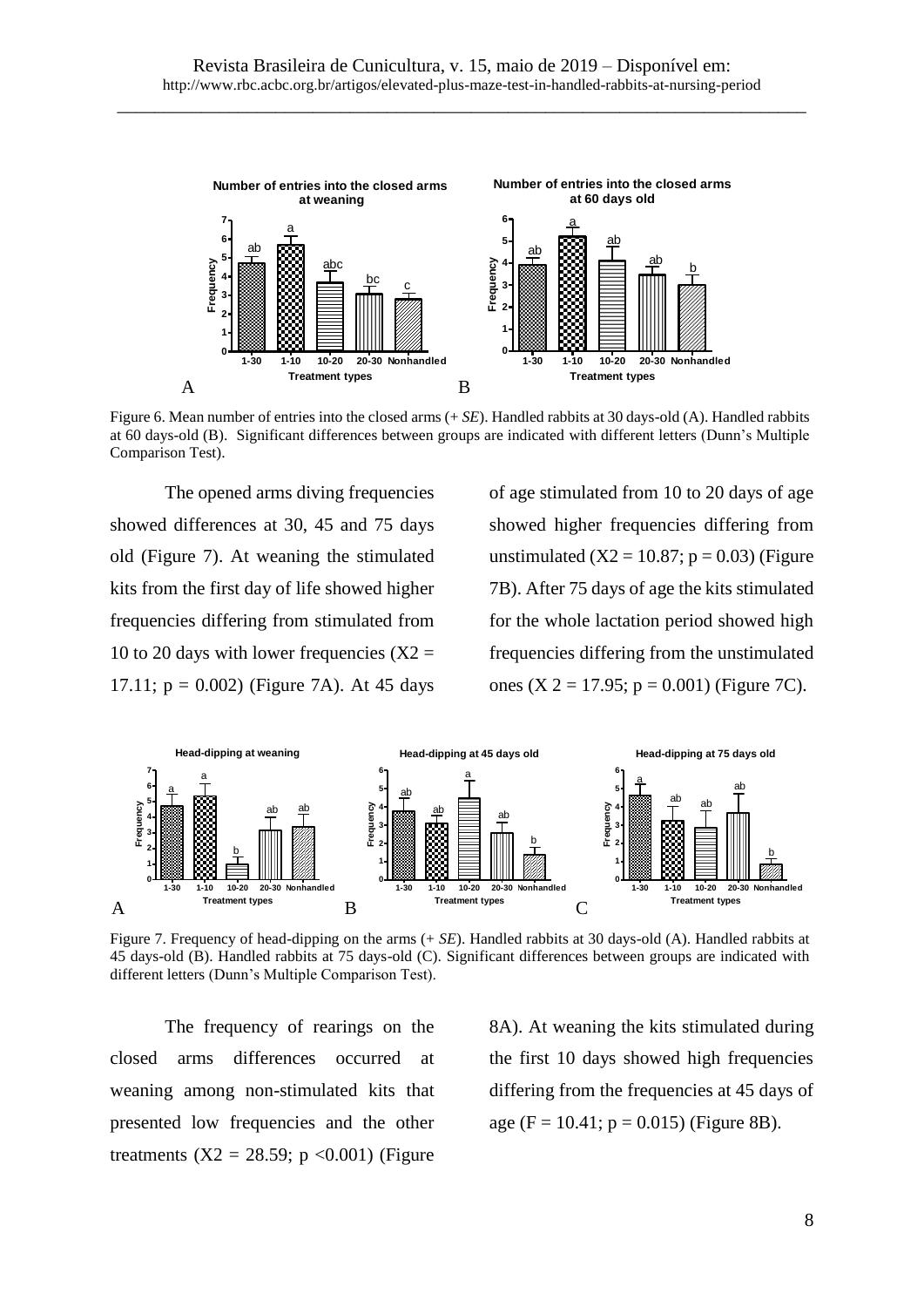

Figure 6. Mean number of entries into the closed arms (+ *SE*). Handled rabbits at 30 days-old (A). Handled rabbits at 60 days-old (B). Significant differences between groups are indicated with different letters (Dunn's Multiple Comparison Test).

The opened arms diving frequencies showed differences at 30, 45 and 75 days old (Figure 7). At weaning the stimulated kits from the first day of life showed higher frequencies differing from stimulated from 10 to 20 days with lower frequencies  $(X2 =$ 17.11;  $p = 0.002$ ) (Figure 7A). At 45 days of age stimulated from 10 to 20 days of age showed higher frequencies differing from unstimulated  $(X2 = 10.87; p = 0.03)$  (Figure 7B). After 75 days of age the kits stimulated for the whole lactation period showed high frequencies differing from the unstimulated ones (X 2 = 17.95;  $p = 0.001$ ) (Figure 7C).



Figure 7. Frequency of head-dipping on the arms (+ *SE*). Handled rabbits at 30 days-old (A). Handled rabbits at 45 days-old (B). Handled rabbits at 75 days-old (C). Significant differences between groups are indicated with different letters (Dunn's Multiple Comparison Test).

The frequency of rearings on the closed arms differences occurred at weaning among non-stimulated kits that presented low frequencies and the other treatments ( $X2 = 28.59$ ; p <0.001) (Figure 8A). At weaning the kits stimulated during the first 10 days showed high frequencies differing from the frequencies at 45 days of age (F = 10.41;  $p = 0.015$ ) (Figure 8B).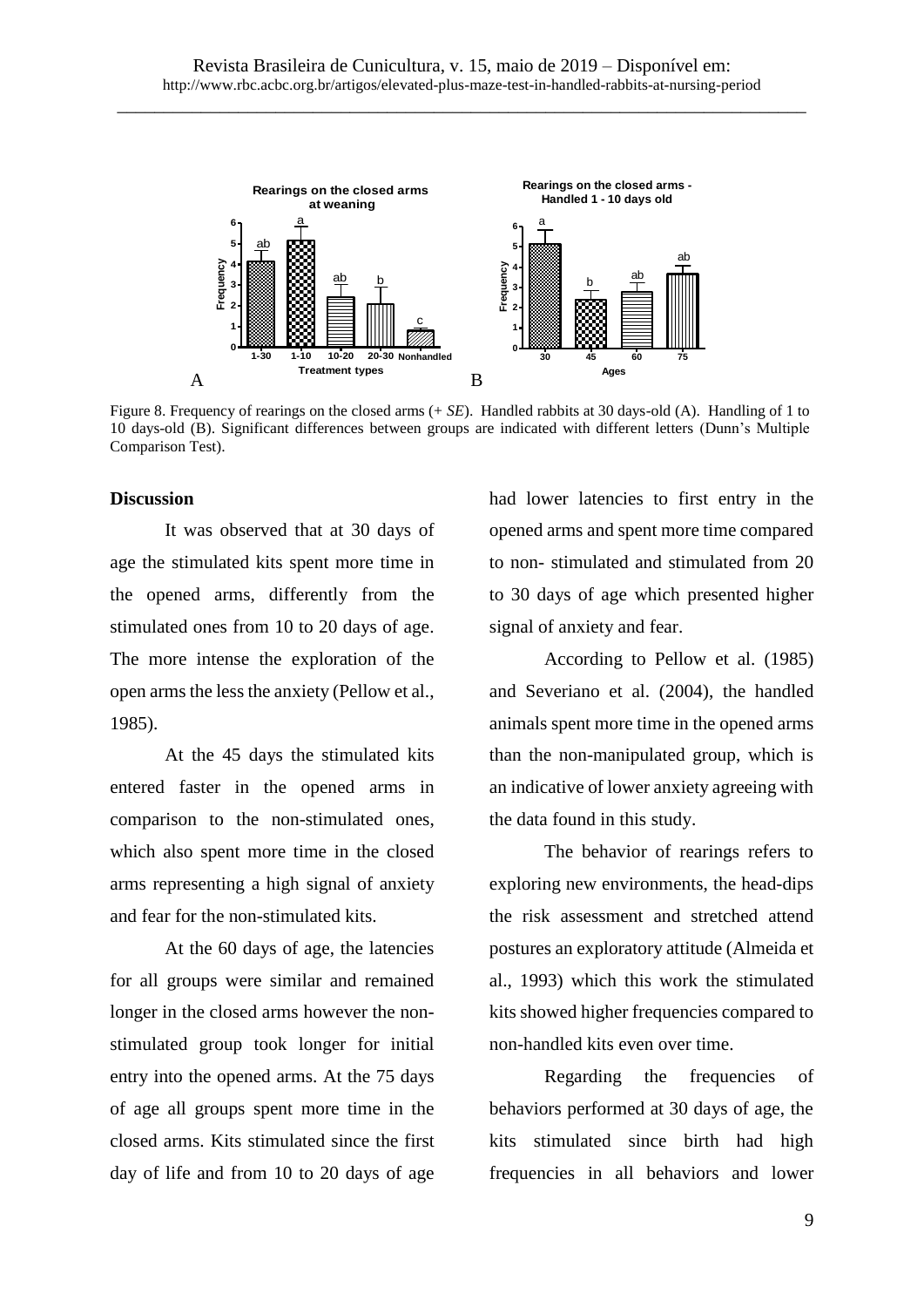

Figure 8. Frequency of rearings on the closed arms (+ *SE*). Handled rabbits at 30 days-old (A). Handling of 1 to 10 days-old (B). Significant differences between groups are indicated with different letters (Dunn's Multiple Comparison Test).

#### **Discussion**

It was observed that at 30 days of age the stimulated kits spent more time in the opened arms, differently from the stimulated ones from 10 to 20 days of age. The more intense the exploration of the open arms the less the anxiety (Pellow et al., 1985).

At the 45 days the stimulated kits entered faster in the opened arms in comparison to the non-stimulated ones, which also spent more time in the closed arms representing a high signal of anxiety and fear for the non-stimulated kits.

At the 60 days of age, the latencies for all groups were similar and remained longer in the closed arms however the nonstimulated group took longer for initial entry into the opened arms. At the 75 days of age all groups spent more time in the closed arms. Kits stimulated since the first day of life and from 10 to 20 days of age had lower latencies to first entry in the opened arms and spent more time compared to non- stimulated and stimulated from 20 to 30 days of age which presented higher signal of anxiety and fear.

According to Pellow et al. (1985) and Severiano et al. (2004), the handled animals spent more time in the opened arms than the non-manipulated group, which is an indicative of lower anxiety agreeing with the data found in this study.

The behavior of rearings refers to exploring new environments, the head-dips the risk assessment and stretched attend postures an exploratory attitude (Almeida et al., 1993) which this work the stimulated kits showed higher frequencies compared to non-handled kits even over time.

Regarding the frequencies of behaviors performed at 30 days of age, the kits stimulated since birth had high frequencies in all behaviors and lower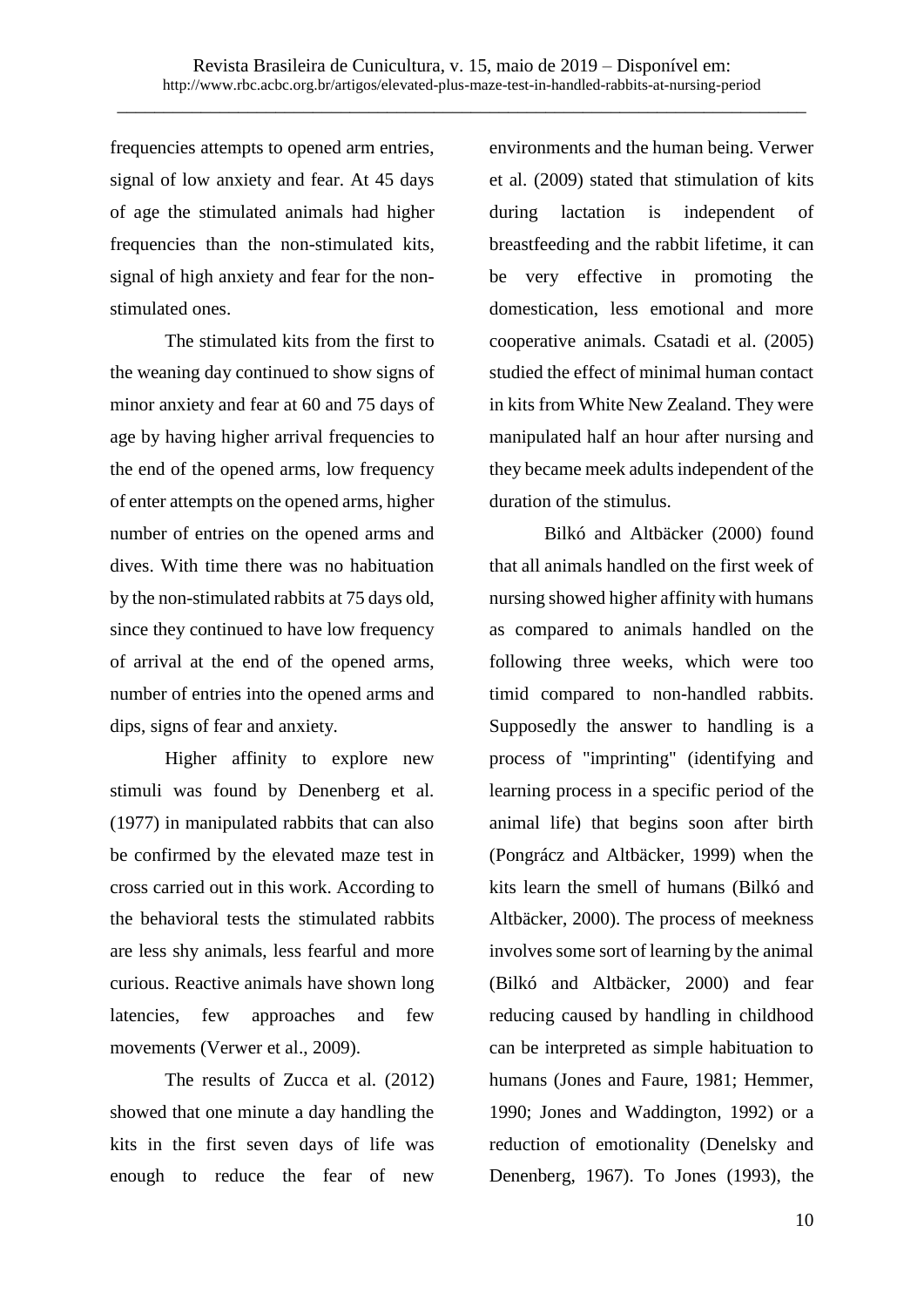frequencies attempts to opened arm entries, signal of low anxiety and fear. At 45 days of age the stimulated animals had higher frequencies than the non-stimulated kits, signal of high anxiety and fear for the nonstimulated ones.

The stimulated kits from the first to the weaning day continued to show signs of minor anxiety and fear at 60 and 75 days of age by having higher arrival frequencies to the end of the opened arms, low frequency of enter attempts on the opened arms, higher number of entries on the opened arms and dives. With time there was no habituation by the non-stimulated rabbits at 75 days old, since they continued to have low frequency of arrival at the end of the opened arms, number of entries into the opened arms and dips, signs of fear and anxiety.

Higher affinity to explore new stimuli was found by Denenberg et al. (1977) in manipulated rabbits that can also be confirmed by the elevated maze test in cross carried out in this work. According to the behavioral tests the stimulated rabbits are less shy animals, less fearful and more curious. Reactive animals have shown long latencies, few approaches and few movements (Verwer et al., 2009).

The results of Zucca et al. (2012) showed that one minute a day handling the kits in the first seven days of life was enough to reduce the fear of new

environments and the human being. Verwer et al. (2009) stated that stimulation of kits during lactation is independent of breastfeeding and the rabbit lifetime, it can be very effective in promoting the domestication, less emotional and more cooperative animals. Csatadi et al. (2005) studied the effect of minimal human contact in kits from White New Zealand. They were manipulated half an hour after nursing and they became meek adults independent of the duration of the stimulus.

Bilkó and Altbäcker (2000) found that all animals handled on the first week of nursing showed higher affinity with humans as compared to animals handled on the following three weeks, which were too timid compared to non-handled rabbits. Supposedly the answer to handling is a process of "imprinting" (identifying and learning process in a specific period of the animal life) that begins soon after birth (Pongrácz and Altbäcker, 1999) when the kits learn the smell of humans (Bilkó and Altbäcker, 2000). The process of meekness involves some sort of learning by the animal (Bilkó and Altbäcker, 2000) and fear reducing caused by handling in childhood can be interpreted as simple habituation to humans (Jones and Faure, 1981; Hemmer, 1990; Jones and Waddington, 1992) or a reduction of emotionality (Denelsky and Denenberg, 1967). To Jones (1993), the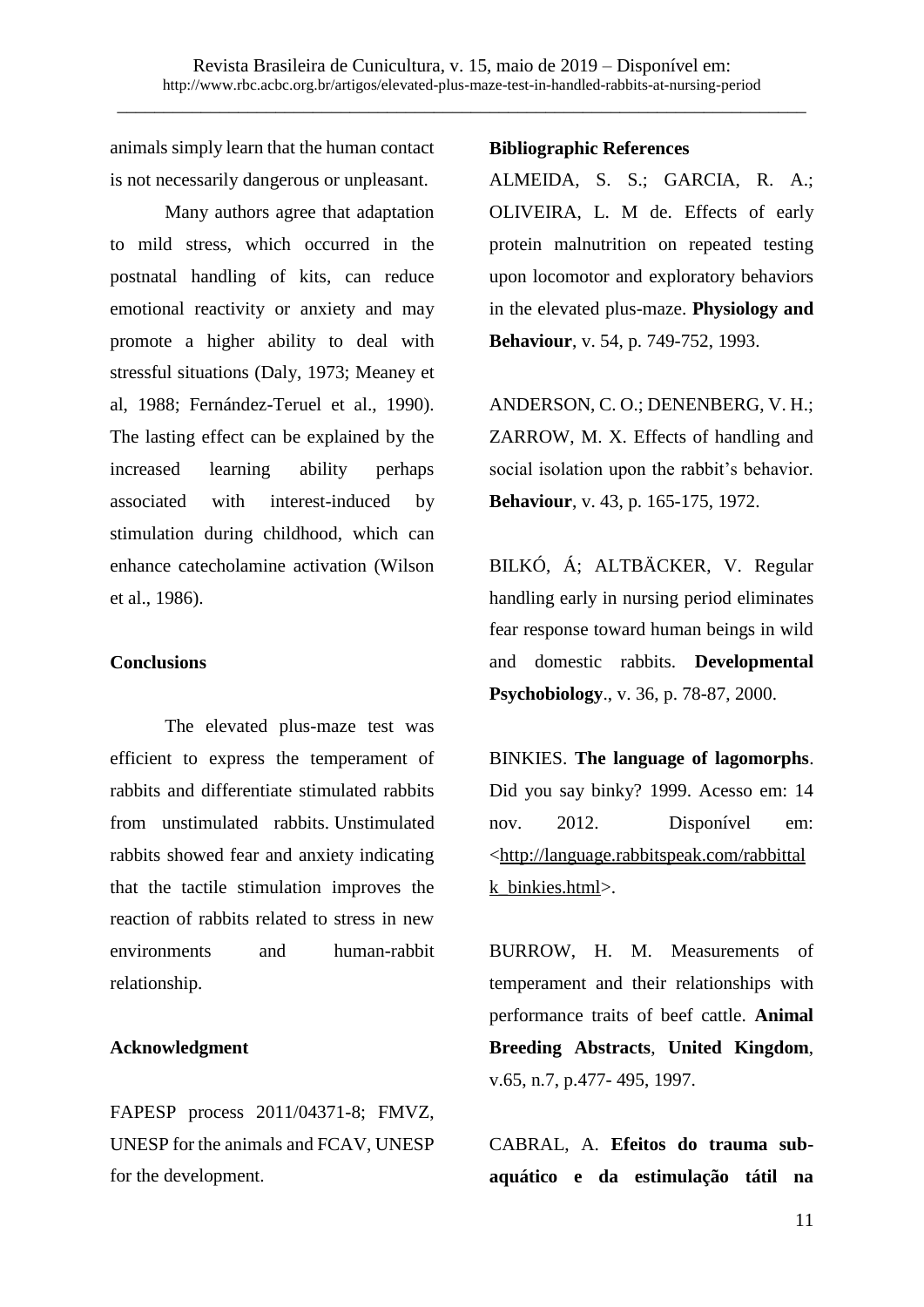animals simply learn that the human contact is not necessarily dangerous or unpleasant.

Many authors agree that adaptation to mild stress, which occurred in the postnatal handling of kits, can reduce emotional reactivity or anxiety and may promote a higher ability to deal with stressful situations (Daly, 1973; Meaney et al, 1988; Fernández-Teruel et al., 1990). The lasting effect can be explained by the increased learning ability perhaps associated with interest-induced by stimulation during childhood, which can enhance catecholamine activation (Wilson et al., 1986).

#### **Conclusions**

The elevated plus-maze test was efficient to express the temperament of rabbits and differentiate stimulated rabbits from unstimulated rabbits. Unstimulated rabbits showed fear and anxiety indicating that the tactile stimulation improves the reaction of rabbits related to stress in new environments and human-rabbit relationship.

#### **Acknowledgment**

FAPESP process 2011/04371-8; FMVZ, UNESP for the animals and FCAV, UNESP for the development.

#### **Bibliographic References**

ALMEIDA, S. S.; GARCIA, R. A.; OLIVEIRA, L. M de. Effects of early protein malnutrition on repeated testing upon locomotor and exploratory behaviors in the elevated plus-maze. **Physiology and Behaviour**, v. 54, p. 749-752, 1993.

ANDERSON, C. O.; DENENBERG, V. H.; ZARROW, M. X. Effects of handling and social isolation upon the rabbit's behavior. **Behaviour**, v. 43, p. 165-175, 1972.

BILKÓ, Á; ALTBÄCKER, V. Regular handling early in nursing period eliminates fear response toward human beings in wild and domestic rabbits. **Developmental Psychobiology**., v. 36, p. 78-87, 2000.

BINKIES. **The language of lagomorphs**. Did you say binky? 1999. Acesso em: 14 nov. 2012. Disponível em: [<http://language.rabbitspeak.com/rabbittal](http://language.rabbitspeak.com/rabbittalk_binkies.html) [k\\_binkies.html>](http://language.rabbitspeak.com/rabbittalk_binkies.html).

BURROW, H. M. Measurements of temperament and their relationships with performance traits of beef cattle. **Animal Breeding Abstracts**, **United Kingdom**, v.65, n.7, p.477- 495, 1997.

CABRAL, A. **Efeitos do trauma subaquático e da estimulação tátil na**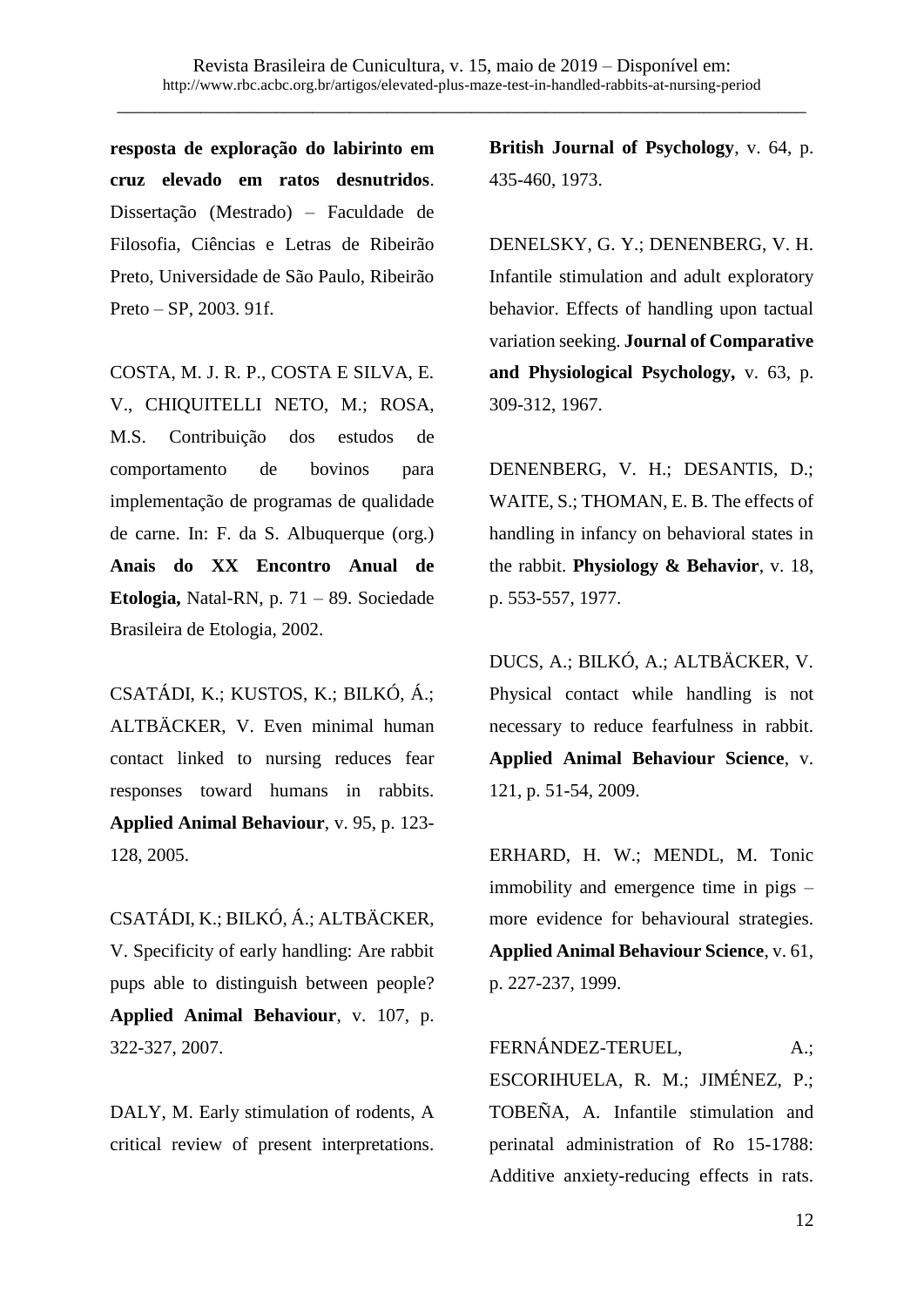**resposta de exploração do labirinto em cruz elevado em ratos desnutridos**. Dissertação (Mestrado) – Faculdade de Filosofia, Ciências e Letras de Ribeirão Preto, Universidade de São Paulo, Ribeirão Preto – SP, 2003. 91f.

COSTA, M. J. R. P., COSTA E SILVA, E. V., CHIQUITELLI NETO, M.; ROSA, M.S. Contribuição dos estudos de comportamento de bovinos para implementação de programas de qualidade de carne. In: F. da S. Albuquerque (org.) **Anais do XX Encontro Anual de Etologia,** Natal-RN, p. 71 – 89. Sociedade Brasileira de Etologia, 2002.

CSATÁDI, K.; KUSTOS, K.; BILKÓ, Á.; ALTBÄCKER, V. Even minimal human contact linked to nursing reduces fear responses toward humans in rabbits. **Applied Animal Behaviour**, v. 95, p. 123- 128, 2005.

CSATÁDI, K.; BILKÓ, Á.; ALTBÄCKER, V. Specificity of early handling: Are rabbit pups able to distinguish between people? **Applied Animal Behaviour**, v. 107, p. 322-327, 2007.

DALY, M. Early stimulation of rodents, A critical review of present interpretations. **British Journal of Psychology**, v. 64, p. 435-460, 1973.

DENELSKY, G. Y.; DENENBERG, V. H. Infantile stimulation and adult exploratory behavior. Effects of handling upon tactual variation seeking. **Journal of Comparative and Physiological Psychology,** v. 63, p. 309-312, 1967.

DENENBERG, V. H.; DESANTIS, D.; WAITE, S.; THOMAN, E. B. The effects of handling in infancy on behavioral states in the rabbit. **Physiology & Behavior**, v. 18, p. 553-557, 1977.

DUCS, A.; BILKÓ, A.; ALTBÄCKER, V. Physical contact while handling is not necessary to reduce fearfulness in rabbit. **Applied Animal Behaviour Science**, v. 121, p. 51-54, 2009.

ERHARD, H. W.; MENDL, M. Tonic immobility and emergence time in pigs – more evidence for behavioural strategies. **Applied Animal Behaviour Science**, v. 61, p. 227-237, 1999.

FERNÁNDEZ-TERUEL, A.; ESCORIHUELA, R. M.; JIMÉNEZ, P.; TOBEÑA, A. Infantile stimulation and perinatal administration of Ro 15-1788: Additive anxiety-reducing effects in rats.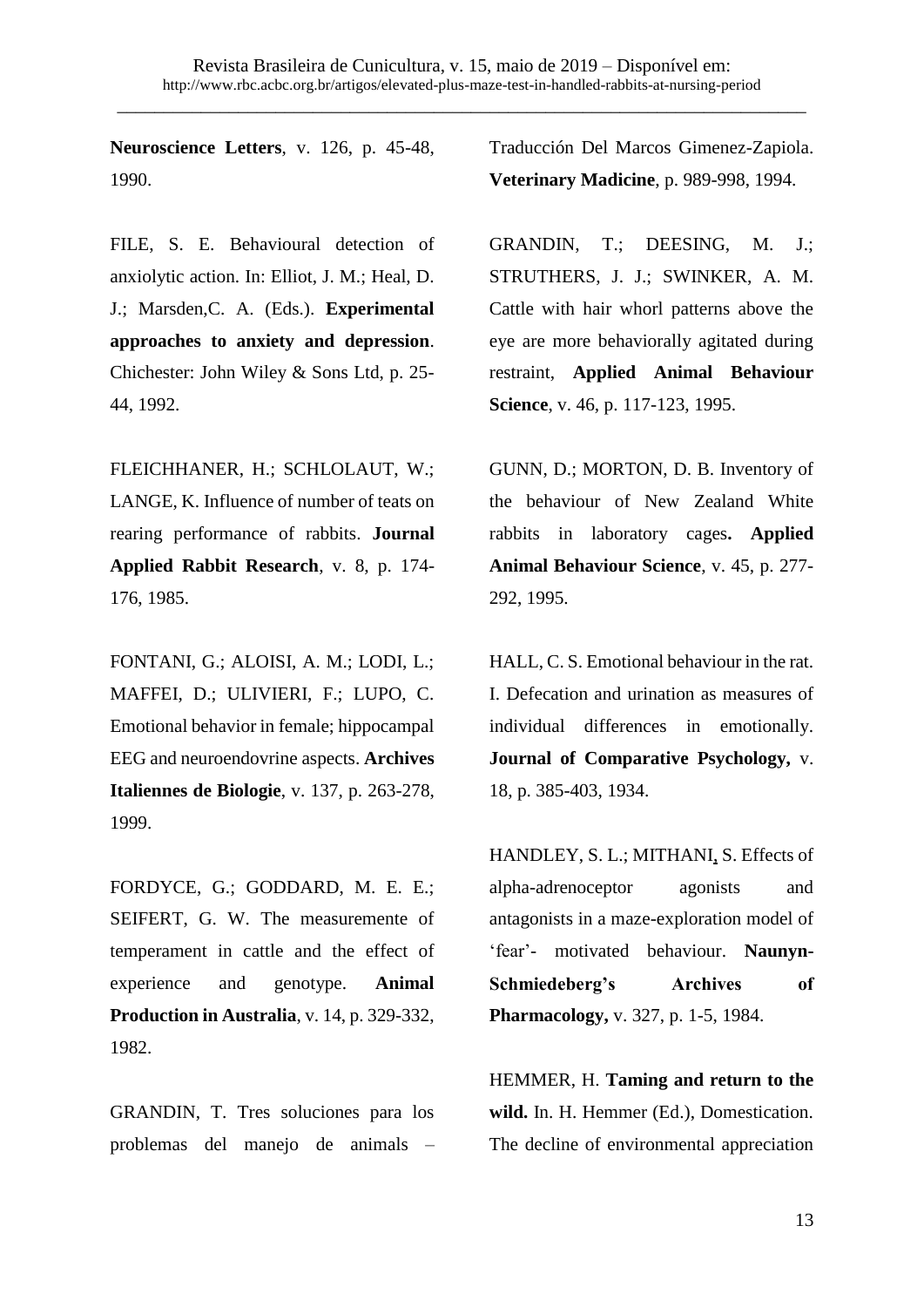**Neuroscience Letters**, v. 126, p. 45-48, 1990.

FILE, S. E. Behavioural detection of anxiolytic action. In: Elliot, J. M.; Heal, D. J.; Marsden,C. A. (Eds.). **Experimental approaches to anxiety and depression**. Chichester: John Wiley & Sons Ltd, p. 25- 44, 1992.

FLEICHHANER, H.; SCHLOLAUT, W.; LANGE, K. Influence of number of teats on rearing performance of rabbits. **Journal Applied Rabbit Research**, v. 8, p. 174- 176, 1985.

FONTANI, G.; ALOISI, A. M.; LODI, L.; MAFFEI, D.; ULIVIERI, F.; LUPO, C. Emotional behavior in female; hippocampal EEG and neuroendovrine aspects. **Archives Italiennes de Biologie**, v. 137, p. 263-278, 1999.

FORDYCE, G.; GODDARD, M. E. E.; SEIFERT, G. W. The measuremente of temperament in cattle and the effect of experience and genotype. **Animal Production in Australia**, v. 14, p. 329-332, 1982.

GRANDIN, T. Tres soluciones para los problemas del manejo de animals – Traducción Del Marcos Gimenez-Zapiola. **Veterinary Madicine**, p. 989-998, 1994.

GRANDIN, T.; DEESING, M. J.; STRUTHERS, J. J.; SWINKER, A. M. Cattle with hair whorl patterns above the eye are more behaviorally agitated during restraint, **Applied Animal Behaviour Science**, v. 46, p. 117-123, 1995.

GUNN, D.; MORTON, D. B. Inventory of the behaviour of New Zealand White rabbits in laboratory cages**. Applied Animal Behaviour Science**, v. 45, p. 277- 292, 1995.

HALL, C. S. Emotional behaviour in the rat. I. Defecation and urination as measures of individual differences in emotionally. **Journal of Comparative Psychology,** v. 18, p. 385-403, 1934.

HANDLEY, S. L.; MITHANI, S. Effects of alpha-adrenoceptor agonists and antagonists in a maze-exploration model of 'fear'- motivated behaviour. **Naunyn-Schmiedeberg's Archives of Pharmacology,** v. 327, p. 1-5, 1984.

HEMMER, H. **Taming and return to the wild.** In. H. Hemmer (Ed.), Domestication. The decline of environmental appreciation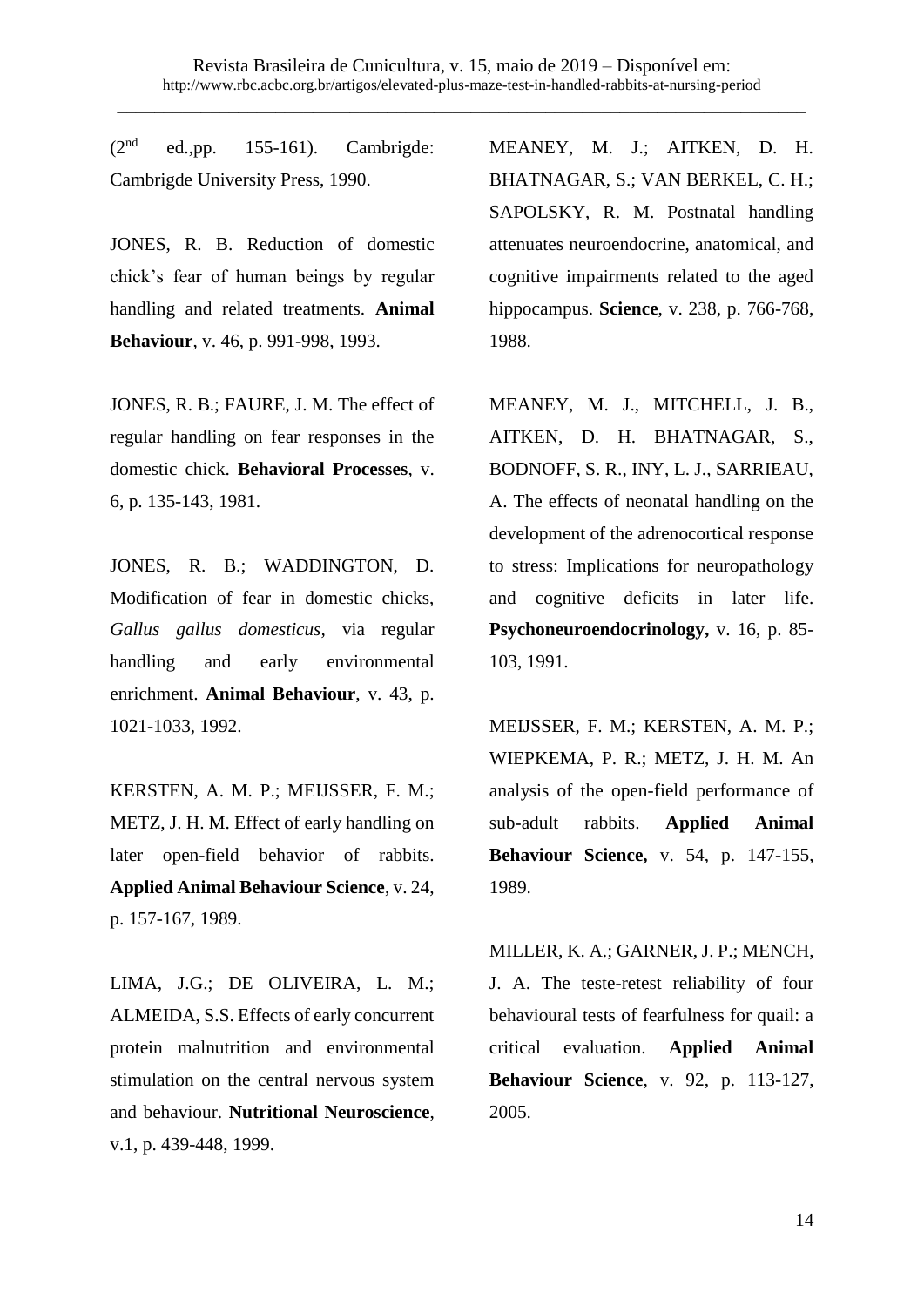$(2<sup>nd</sup>$  ed.,pp. 155-161). Cambrigde: Cambrigde University Press, 1990.

JONES, R. B. Reduction of domestic chick's fear of human beings by regular handling and related treatments. **Animal Behaviour**, v. 46, p. 991-998, 1993.

JONES, R. B.; FAURE, J. M. The effect of regular handling on fear responses in the domestic chick. **Behavioral Processes**, v. 6, p. 135-143, 1981.

JONES, R. B.; WADDINGTON, D. Modification of fear in domestic chicks, *Gallus gallus domesticus,* via regular handling and early environmental enrichment. **Animal Behaviour**, v. 43, p. 1021-1033, 1992.

KERSTEN, A. M. P.; MEIJSSER, F. M.; METZ, J. H. M. Effect of early handling on later open-field behavior of rabbits. **Applied Animal Behaviour Science**, v. 24, p. 157-167, 1989.

LIMA, J.G.; DE OLIVEIRA, L. M.; ALMEIDA, S.S. Effects of early concurrent protein malnutrition and environmental stimulation on the central nervous system and behaviour. **Nutritional Neuroscience**, v.1, p. 439-448, 1999.

MEANEY, M. J.; AITKEN, D. H. BHATNAGAR, S.; VAN BERKEL, C. H.; SAPOLSKY, R. M. Postnatal handling attenuates neuroendocrine, anatomical, and cognitive impairments related to the aged hippocampus. **Science**, v. 238, p. 766-768, 1988.

MEANEY, M. J., MITCHELL, J. B., AITKEN, D. H. BHATNAGAR, S., BODNOFF, S. R., INY, L. J., SARRIEAU, A. The effects of neonatal handling on the development of the adrenocortical response to stress: Implications for neuropathology and cognitive deficits in later life. **Psychoneuroendocrinology,** v. 16, p. 85- 103, 1991.

MEIJSSER, F. M.; KERSTEN, A. M. P.; WIEPKEMA, P. R.; METZ, J. H. M. An analysis of the open-field performance of sub-adult rabbits. **Applied Animal Behaviour Science,** v. 54, p. 147-155, 1989.

MILLER, K. A.; GARNER, J. P.; MENCH, J. A. The teste-retest reliability of four behavioural tests of fearfulness for quail: a critical evaluation. **Applied Animal Behaviour Science**, v. 92, p. 113-127, 2005.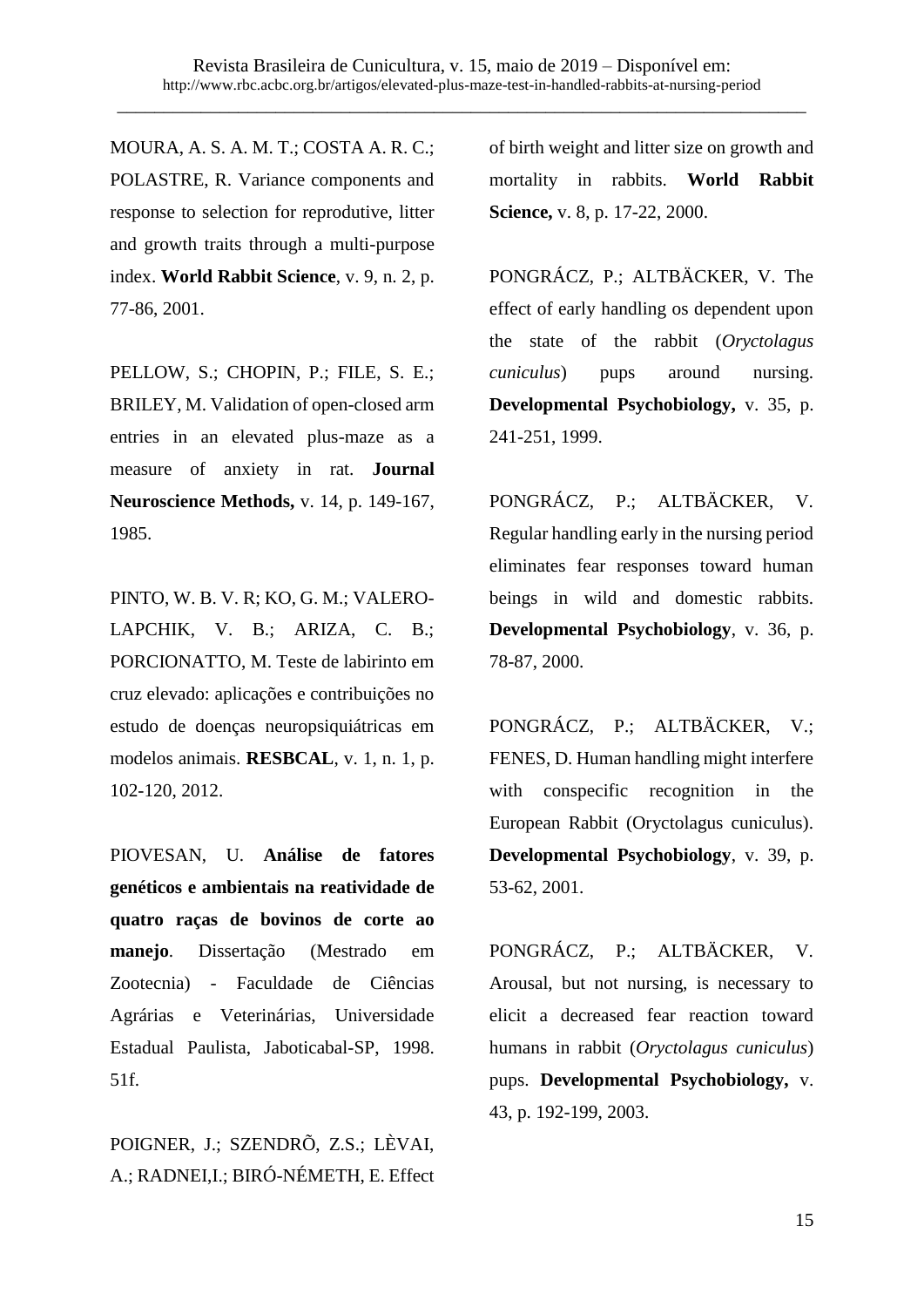MOURA, A. S. A. M. T.; COSTA A. R. C.; POLASTRE, R. Variance components and response to selection for reprodutive, litter and growth traits through a multi-purpose index. **World Rabbit Science**, v. 9, n. 2, p. 77-86, 2001.

PELLOW, S.; CHOPIN, P.; FILE, S. E.; BRILEY, M. Validation of open-closed arm entries in an elevated plus-maze as a measure of anxiety in rat. **Journal Neuroscience Methods,** v. 14, p. 149-167, 1985.

PINTO, W. B. V. R; KO, G. M.; VALERO-LAPCHIK, V. B.; ARIZA, C. B.; PORCIONATTO, M. Teste de labirinto em cruz elevado: aplicações e contribuições no estudo de doenças neuropsiquiátricas em modelos animais. **RESBCAL**, v. 1, n. 1, p. 102-120, 2012.

PIOVESAN, U. **Análise de fatores genéticos e ambientais na reatividade de quatro raças de bovinos de corte ao manejo**. Dissertação (Mestrado em Zootecnia) - Faculdade de Ciências Agrárias e Veterinárias, Universidade Estadual Paulista, Jaboticabal-SP, 1998. 51f.

POIGNER, J.; SZENDRÕ, Z.S.; LÈVAI, A.; RADNEI,I.; BIRÓ-NÉMETH, E. Effect of birth weight and litter size on growth and mortality in rabbits. **World Rabbit Science,** v. 8, p. 17-22, 2000.

PONGRÁCZ, P.; ALTBÄCKER, V. The effect of early handling os dependent upon the state of the rabbit (*Oryctolagus cuniculus*) pups around nursing. **Developmental Psychobiology,** v. 35, p. 241-251, 1999.

PONGRÁCZ, P.; ALTBÄCKER, V. Regular handling early in the nursing period eliminates fear responses toward human beings in wild and domestic rabbits. **Developmental Psychobiology**, v. 36, p. 78-87, 2000.

PONGRÁCZ, P.; ALTBÄCKER, V.; FENES, D. Human handling might interfere with conspecific recognition in the European Rabbit (Oryctolagus cuniculus). **Developmental Psychobiology**, v. 39, p. 53-62, 2001.

PONGRÁCZ, P.; ALTBÄCKER, V. Arousal, but not nursing, is necessary to elicit a decreased fear reaction toward humans in rabbit (*Oryctolagus cuniculus*) pups. **Developmental Psychobiology,** v. 43, p. 192-199, 2003.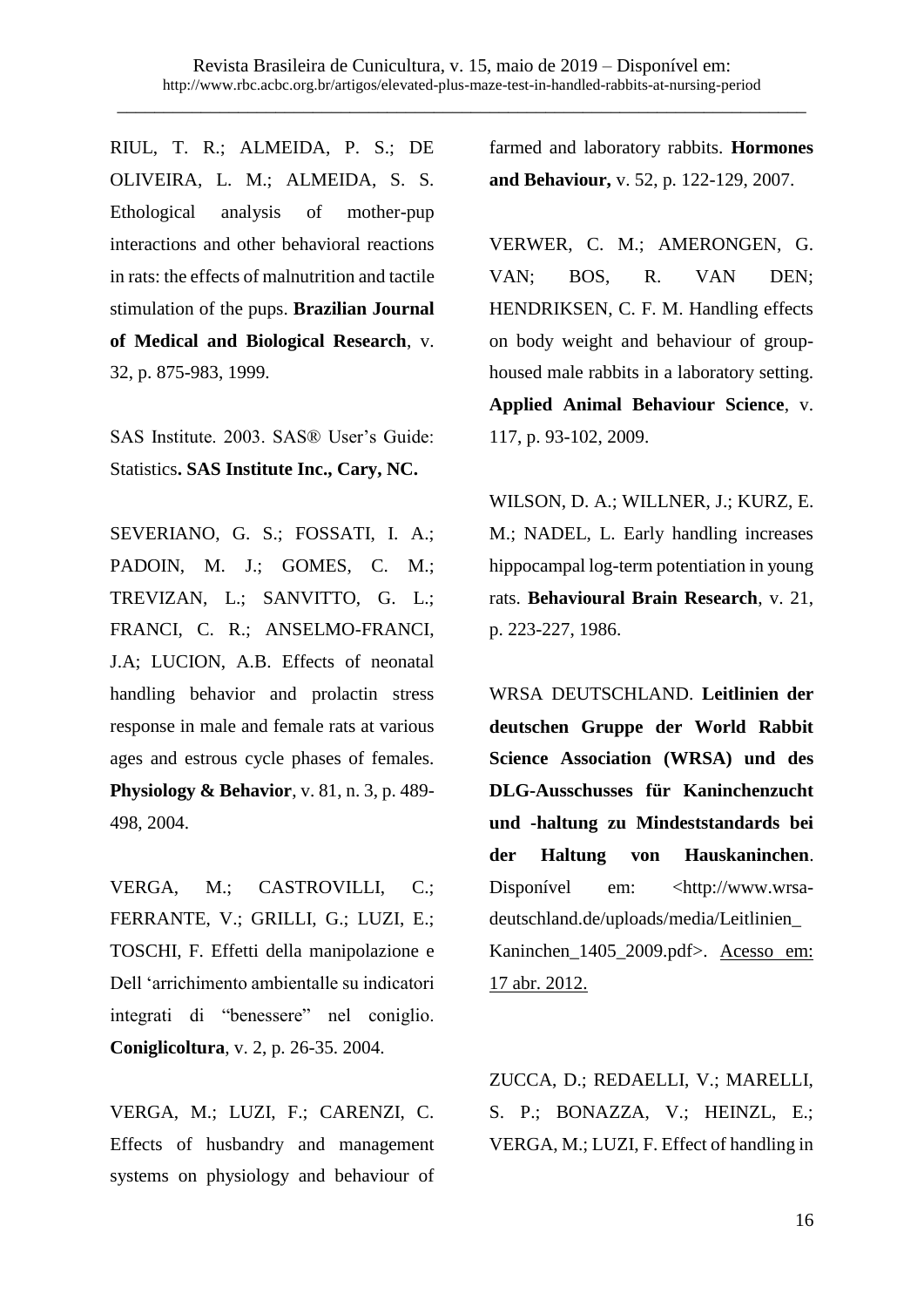RIUL, T. R.; ALMEIDA, P. S.; DE OLIVEIRA, L. M.; ALMEIDA, S. S. Ethological analysis of mother-pup interactions and other behavioral reactions in rats: the effects of malnutrition and tactile stimulation of the pups. **Brazilian Journal of Medical and Biological Research**, v. 32, p. 875-983, 1999.

SAS Institute. 2003. SAS® User's Guide: Statistics**. SAS Institute Inc., Cary, NC.**

SEVERIANO, G. S.; FOSSATI, I. A.; PADOIN, M. J.; GOMES, C. M.; TREVIZAN, L.; SANVITTO, G. L.; FRANCI, C. R.; ANSELMO-FRANCI, J.A; LUCION, A.B. Effects of neonatal handling behavior and prolactin stress response in male and female rats at various ages and estrous cycle phases of females. **Physiology & Behavior**, v. 81, n. 3, p. 489- 498, 2004.

VERGA, M.; CASTROVILLI, C.; FERRANTE, V.; GRILLI, G.; LUZI, E.; TOSCHI, F. Effetti della manipolazione e Dell 'arrichimento ambientalle su indicatori integrati di "benessere" nel coniglio. **Coniglicoltura**, v. 2, p. 26-35. 2004.

VERGA, M.; LUZI, F.; CARENZI, C. Effects of husbandry and management systems on physiology and behaviour of

farmed and laboratory rabbits. **Hormones and Behaviour,** v. 52, p. 122-129, 2007.

VERWER, C. M.; AMERONGEN, G. VAN; BOS, R. VAN DEN; HENDRIKSEN, C. F. M. Handling effects on body weight and behaviour of grouphoused male rabbits in a laboratory setting. **Applied Animal Behaviour Science**, v. 117, p. 93-102, 2009.

WILSON, D. A.; WILLNER, J.; KURZ, E. M.; NADEL, L. Early handling increases hippocampal log-term potentiation in young rats. **Behavioural Brain Research**, v. 21, p. 223-227, 1986.

WRSA DEUTSCHLAND. **Leitlinien der deutschen Gruppe der World Rabbit Science Association (WRSA) und des DLG-Ausschusses für Kaninchenzucht und -haltung zu Mindeststandards bei der Haltung von Hauskaninchen**. Disponível em: [<http://www.wrsa](http://www.wrsa-deutschland.de/uploads/media/Leitlinien_Kaninchen_1405_2009.pdf)[deutschland.de/uploads/media/Leitlinien\\_](http://www.wrsa-deutschland.de/uploads/media/Leitlinien_Kaninchen_1405_2009.pdf) [Kaninchen\\_1405\\_2009.pdf>](http://www.wrsa-deutschland.de/uploads/media/Leitlinien_Kaninchen_1405_2009.pdf). Acesso em: 17 abr. 2012.

ZUCCA, D.; REDAELLI, V.; MARELLI, S. P.; BONAZZA, V.; HEINZL, E.; VERGA, M.; LUZI, F. Effect of handling in